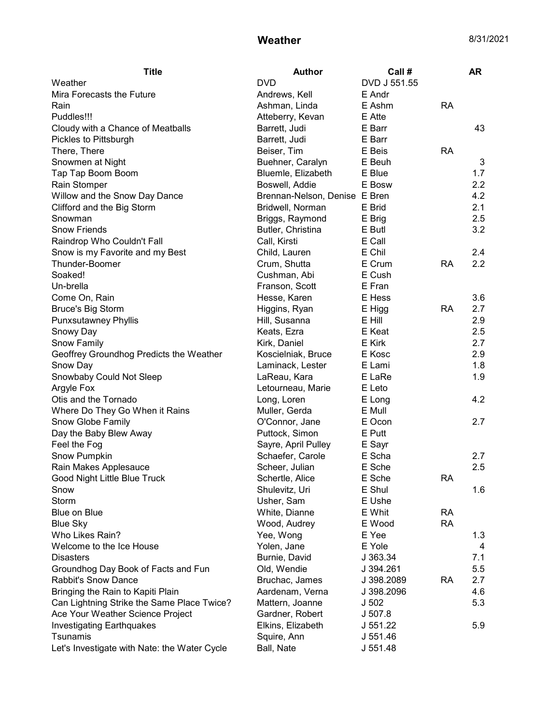## **Weather** 8/31/2021

| <b>Title</b>                                 | <b>Author</b>                 | Call#            |           | AR  |
|----------------------------------------------|-------------------------------|------------------|-----------|-----|
| Weather                                      | <b>DVD</b>                    | DVD J 551.55     |           |     |
| Mira Forecasts the Future                    | Andrews, Kell                 | E Andr           |           |     |
| Rain                                         | Ashman, Linda                 | E Ashm           | <b>RA</b> |     |
| Puddles!!!                                   | Atteberry, Kevan              | E Atte           |           |     |
| Cloudy with a Chance of Meatballs            | Barrett, Judi                 | E Barr           |           | 43  |
| Pickles to Pittsburgh                        | Barrett, Judi                 | E Barr           |           |     |
| There, There                                 | Beiser, Tim                   | E Beis           | <b>RA</b> |     |
| Snowmen at Night                             | Buehner, Caralyn              | E Beuh           |           | 3   |
| Tap Tap Boom Boom                            | Bluemle, Elizabeth            | E Blue           |           | 1.7 |
| Rain Stomper                                 | Boswell, Addie                | E Bosw           |           | 2.2 |
| Willow and the Snow Day Dance                | Brennan-Nelson, Denise E Bren |                  |           | 4.2 |
| Clifford and the Big Storm                   | Bridwell, Norman              | E Brid           |           | 2.1 |
| Snowman                                      | Briggs, Raymond               | E Brig           |           | 2.5 |
| <b>Snow Friends</b>                          | Butler, Christina             | E Butl           |           | 3.2 |
| Raindrop Who Couldn't Fall                   | Call, Kirsti                  | E Call           |           |     |
| Snow is my Favorite and my Best              | Child, Lauren                 | E Chil           |           | 2.4 |
| Thunder-Boomer                               | Crum, Shutta                  | E Crum           | <b>RA</b> | 2.2 |
| Soaked!                                      | Cushman, Abi                  | E Cush           |           |     |
| Un-brella                                    | Franson, Scott                | E Fran           |           |     |
| Come On, Rain                                | Hesse, Karen                  | E Hess           |           | 3.6 |
| <b>Bruce's Big Storm</b>                     | Higgins, Ryan                 | E Higg           | <b>RA</b> | 2.7 |
| <b>Punxsutawney Phyllis</b>                  | Hill, Susanna                 | E Hill           |           | 2.9 |
| Snowy Day                                    | Keats, Ezra                   | E Keat           |           | 2.5 |
| Snow Family                                  | Kirk, Daniel                  | E Kirk           |           | 2.7 |
| Geoffrey Groundhog Predicts the Weather      | Koscielniak, Bruce            | E Kosc           |           | 2.9 |
| Snow Day                                     | Laminack, Lester              | E Lami           |           | 1.8 |
| Snowbaby Could Not Sleep                     | LaReau, Kara                  | E LaRe           |           | 1.9 |
| Argyle Fox                                   | Letourneau, Marie             | E Leto           |           |     |
| Otis and the Tornado                         | Long, Loren                   | E Long           |           | 4.2 |
| Where Do They Go When it Rains               | Muller, Gerda                 | E Mull           |           |     |
| Snow Globe Family                            | O'Connor, Jane                | E Ocon           |           | 2.7 |
| Day the Baby Blew Away                       | Puttock, Simon                | E Putt           |           |     |
| Feel the Fog                                 | Sayre, April Pulley           | E Sayr           |           |     |
| Snow Pumpkin                                 | Schaefer, Carole              | E Scha           |           | 2.7 |
| Rain Makes Applesauce                        | Scheer, Julian                | E Sche           |           | 2.5 |
| Good Night Little Blue Truck                 | Schertle, Alice               | E Sche           | <b>RA</b> |     |
| Snow                                         | Shulevitz, Uri                | E Shul           |           | 1.6 |
| Storm                                        | Usher, Sam                    | E Ushe           |           |     |
| Blue on Blue                                 | White, Dianne                 | E Whit           | <b>RA</b> |     |
| <b>Blue Sky</b>                              | Wood, Audrey                  | E Wood           | <b>RA</b> |     |
| Who Likes Rain?                              | Yee, Wong                     | E Yee            |           | 1.3 |
| Welcome to the Ice House                     | Yolen, Jane                   | E Yole           |           | 4   |
| <b>Disasters</b>                             | Burnie, David                 | J 363.34         |           | 7.1 |
| Groundhog Day Book of Facts and Fun          | Old, Wendie                   | J 394.261        |           | 5.5 |
| <b>Rabbit's Snow Dance</b>                   | Bruchac, James                | J 398.2089       | <b>RA</b> | 2.7 |
| Bringing the Rain to Kapiti Plain            | Aardenam, Verna               | J 398.2096       |           | 4.6 |
| Can Lightning Strike the Same Place Twice?   | Mattern, Joanne               | J <sub>502</sub> |           | 5.3 |
| Ace Your Weather Science Project             | Gardner, Robert               | J 507.8          |           |     |
| Investigating Earthquakes                    | Elkins, Elizabeth             | J 551.22         |           | 5.9 |
| Tsunamis                                     | Squire, Ann                   | J 551.46         |           |     |
| Let's Investigate with Nate: the Water Cycle | Ball, Nate                    | J 551.48         |           |     |
|                                              |                               |                  |           |     |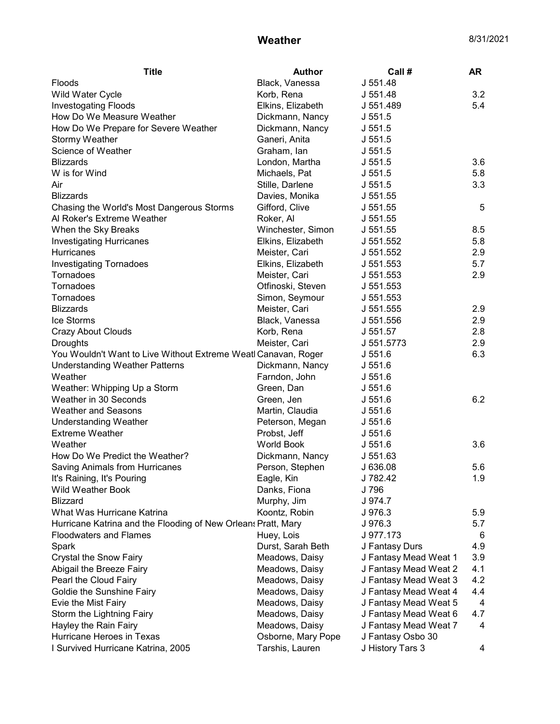## **Weather** 8/31/2021

| <b>Title</b>                                                   | <b>Author</b>      | Call#                 | <b>AR</b> |
|----------------------------------------------------------------|--------------------|-----------------------|-----------|
| <b>Floods</b>                                                  | Black, Vanessa     | J 551.48              |           |
| Wild Water Cycle                                               | Korb, Rena         | J 551.48              | 3.2       |
| <b>Investogating Floods</b>                                    | Elkins, Elizabeth  | J 551.489             | 5.4       |
| How Do We Measure Weather                                      | Dickmann, Nancy    | J 551.5               |           |
| How Do We Prepare for Severe Weather                           | Dickmann, Nancy    | J 551.5               |           |
| <b>Stormy Weather</b>                                          | Ganeri, Anita      | J 551.5               |           |
| Science of Weather                                             | Graham, Ian        | J 551.5               |           |
| <b>Blizzards</b>                                               | London, Martha     | J 551.5               | 3.6       |
| W is for Wind                                                  | Michaels, Pat      | J 551.5               | 5.8       |
| Air                                                            | Stille, Darlene    | J 551.5               | 3.3       |
| <b>Blizzards</b>                                               | Davies, Monika     | J 551.55              |           |
| Chasing the World's Most Dangerous Storms                      | Gifford, Clive     | J 551.55              | 5         |
| Al Roker's Extreme Weather                                     | Roker, Al          | J 551.55              |           |
| When the Sky Breaks                                            | Winchester, Simon  | J 551.55              | 8.5       |
| <b>Investigating Hurricanes</b>                                | Elkins, Elizabeth  | J 551.552             | 5.8       |
| <b>Hurricanes</b>                                              | Meister, Cari      | J 551.552             | 2.9       |
| <b>Investigating Tornadoes</b>                                 | Elkins, Elizabeth  | J 551.553             | 5.7       |
| Tornadoes                                                      | Meister, Cari      | J 551.553             | 2.9       |
| Tornadoes                                                      | Otfinoski, Steven  | J 551.553             |           |
| Tornadoes                                                      | Simon, Seymour     | J 551.553             |           |
| <b>Blizzards</b>                                               | Meister, Cari      | J 551.555             | 2.9       |
| Ice Storms                                                     | Black, Vanessa     | J 551.556             | 2.9       |
| <b>Crazy About Clouds</b>                                      | Korb, Rena         | J 551.57              | 2.8       |
| <b>Droughts</b>                                                | Meister, Cari      | J 551.5773            | 2.9       |
| You Wouldn't Want to Live Without Extreme Weatl Canavan, Roger |                    | J 551.6               | 6.3       |
| <b>Understanding Weather Patterns</b>                          | Dickmann, Nancy    | J 551.6               |           |
| Weather                                                        | Farndon, John      | J 551.6               |           |
| Weather: Whipping Up a Storm                                   | Green, Dan         | J 551.6               |           |
| Weather in 30 Seconds                                          | Green, Jen         | J 551.6               | 6.2       |
| <b>Weather and Seasons</b>                                     | Martin, Claudia    | J 551.6               |           |
| <b>Understanding Weather</b>                                   | Peterson, Megan    | J 551.6               |           |
| <b>Extreme Weather</b>                                         | Probst, Jeff       | J 551.6               |           |
| Weather                                                        | <b>World Book</b>  | J 551.6               | 3.6       |
| How Do We Predict the Weather?                                 | Dickmann, Nancy    | J 551.63              |           |
| Saving Animals from Hurricanes                                 | Person, Stephen    | J 636.08              | 5.6       |
| It's Raining, It's Pouring                                     | Eagle, Kin         | J 782.42              | 1.9       |
| Wild Weather Book                                              | Danks, Fiona       | J 796                 |           |
| <b>Blizzard</b>                                                | Murphy, Jim        | J 974.7               |           |
| What Was Hurricane Katrina                                     | Koontz, Robin      | J 976.3               | 5.9       |
| Hurricane Katrina and the Flooding of New Orleans Pratt, Mary  |                    | J 976.3               | 5.7       |
| <b>Floodwaters and Flames</b>                                  | Huey, Lois         | J 977.173             | 6         |
| Spark                                                          | Durst, Sarah Beth  | J Fantasy Durs        | 4.9       |
| Crystal the Snow Fairy                                         | Meadows, Daisy     | J Fantasy Mead Weat 1 | 3.9       |
| Abigail the Breeze Fairy                                       | Meadows, Daisy     | J Fantasy Mead Weat 2 | 4.1       |
| Pearl the Cloud Fairy                                          | Meadows, Daisy     | J Fantasy Mead Weat 3 | 4.2       |
| Goldie the Sunshine Fairy                                      | Meadows, Daisy     | J Fantasy Mead Weat 4 | 4.4       |
| Evie the Mist Fairy                                            | Meadows, Daisy     | J Fantasy Mead Weat 5 | 4         |
| Storm the Lightning Fairy                                      | Meadows, Daisy     | J Fantasy Mead Weat 6 | 4.7       |
| Hayley the Rain Fairy                                          | Meadows, Daisy     | J Fantasy Mead Weat 7 | 4         |
| Hurricane Heroes in Texas                                      | Osborne, Mary Pope | J Fantasy Osbo 30     |           |
| I Survived Hurricane Katrina, 2005                             | Tarshis, Lauren    | J History Tars 3      | 4         |
|                                                                |                    |                       |           |